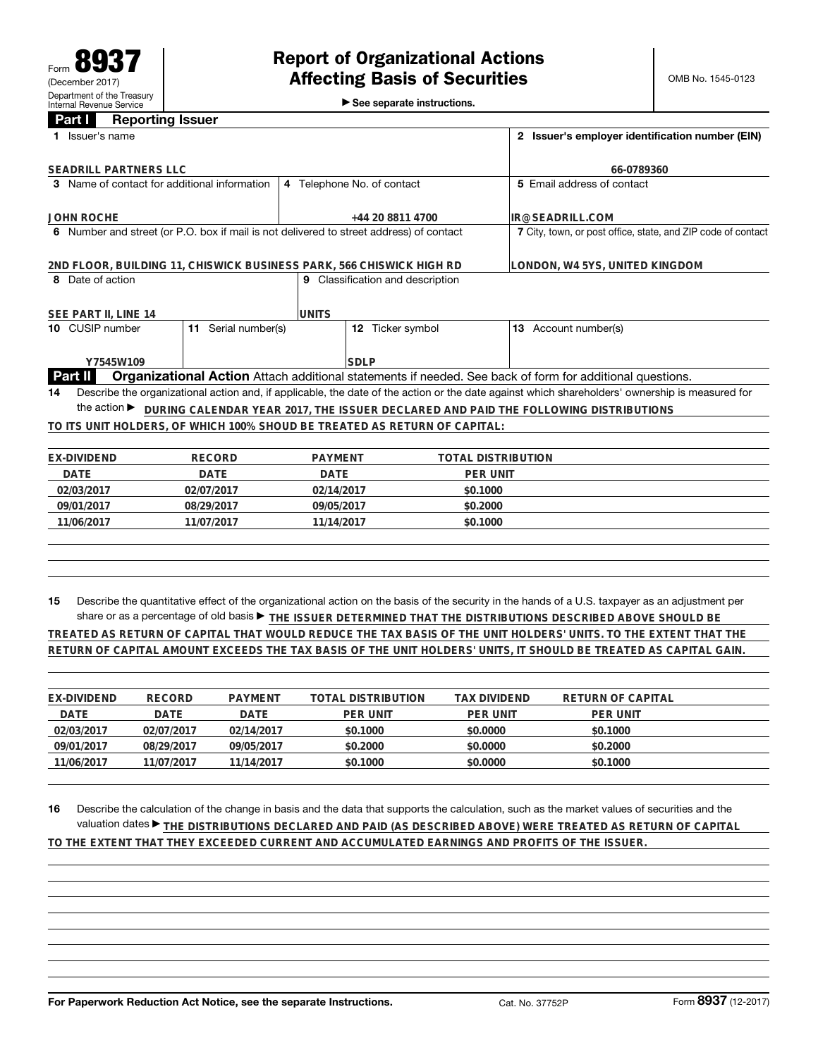►<br>► See separate instructions.

## **Part I Reporting Issuer**

| Issuer's name<br>1.              |                                              |                                                                                         |                           | 2 Issuer's employer identification number (EIN)                                                                                                 |  |  |
|----------------------------------|----------------------------------------------|-----------------------------------------------------------------------------------------|---------------------------|-------------------------------------------------------------------------------------------------------------------------------------------------|--|--|
| SEADRILL PARTNERS LLC            |                                              |                                                                                         | 66-0789360                |                                                                                                                                                 |  |  |
|                                  | 3 Name of contact for additional information | 4 Telephone No. of contact                                                              |                           | 5 Email address of contact                                                                                                                      |  |  |
| <b>JOHN ROCHE</b>                |                                              | +44 20 8811 4700                                                                        |                           | IR@SEADRILL.COM                                                                                                                                 |  |  |
|                                  |                                              | 6 Number and street (or P.O. box if mail is not delivered to street address) of contact |                           | 7 City, town, or post office, state, and ZIP code of contact                                                                                    |  |  |
|                                  |                                              | 2ND FLOOR, BUILDING 11, CHISWICK BUSINESS PARK, 566 CHISWICK HIGH RD                    |                           | LONDON, W4 5YS, UNITED KINGDOM                                                                                                                  |  |  |
| 8 Date of action                 |                                              | 9 Classification and description                                                        |                           |                                                                                                                                                 |  |  |
| SEE PART II, LINE 14             |                                              | <b>UNITS</b>                                                                            |                           |                                                                                                                                                 |  |  |
| 10 CUSIP number                  | Serial number(s)<br>11                       | 12 Ticker symbol                                                                        |                           | 13 Account number(s)                                                                                                                            |  |  |
| Y7545W109                        |                                              | <b>SDLP</b>                                                                             |                           |                                                                                                                                                 |  |  |
| <b>Part II</b>                   |                                              |                                                                                         |                           | Organizational Action Attach additional statements if needed. See back of form for additional questions.                                        |  |  |
| 14                               |                                              |                                                                                         |                           | Describe the organizational action and, if applicable, the date of the action or the date against which shareholders' ownership is measured for |  |  |
| the action $\blacktriangleright$ |                                              |                                                                                         |                           | DURING CALENDAR YEAR 2017, THE ISSUER DECLARED AND PAID THE FOLLOWING DISTRIBUTIONS                                                             |  |  |
|                                  |                                              | TO ITS UNIT HOLDERS, OF WHICH 100% SHOUD BE TREATED AS RETURN OF CAPITAL:               |                           |                                                                                                                                                 |  |  |
|                                  |                                              |                                                                                         |                           |                                                                                                                                                 |  |  |
| <b>EX-DIVIDEND</b>               | <b>RECORD</b>                                | <b>PAYMENT</b>                                                                          | <b>TOTAL DISTRIBUTION</b> |                                                                                                                                                 |  |  |
| <b>DATE</b>                      | <b>DATE</b>                                  | <b>DATE</b>                                                                             | <b>PER UNIT</b>           |                                                                                                                                                 |  |  |
| 02/03/2017                       | 02/07/2017                                   | 02/14/2017                                                                              | \$0.1000                  |                                                                                                                                                 |  |  |
| 09/01/2017                       | 08/29/2017                                   | 09/05/2017                                                                              | \$0.2000                  |                                                                                                                                                 |  |  |
| 11/06/2017                       | 11/07/2017                                   | 11/14/2017                                                                              | \$0.1000                  |                                                                                                                                                 |  |  |
|                                  |                                              |                                                                                         |                           |                                                                                                                                                 |  |  |
|                                  |                                              |                                                                                         |                           |                                                                                                                                                 |  |  |
|                                  |                                              |                                                                                         |                           |                                                                                                                                                 |  |  |

**15** Describe the quantitative effect of the organizational action on the basis of the security in the hands of a U.S. taxpayer as an adjustment per share or as a percentage of old basis ▶ THE ISSUER DETERMINED THAT THE DISTRIBUTIONS DESCRIBED ABOVE SHOULD BE **TREATED AS RETURN OF CAPITAL THAT WOULD REDUCE THE TAX BASIS OF THE UNIT HOLDERS' UNITS. TO THE EXTENT THAT THE**

**RETURN OF CAPITAL AMOUNT EXCEEDS THE TAX BASIS OF THE UNIT HOLDERS' UNITS, IT SHOULD BE TREATED AS CAPITAL GAIN.**

| EX-DIVIDEND | RECORD     | PAYMENT    | TOTAL DISTRIBUTION | TAX DIVIDEND    | RETURN OF CAPITAL |  |
|-------------|------------|------------|--------------------|-----------------|-------------------|--|
| DATE        | DATE       | DATE       | PER UNIT           | <b>PER UNIT</b> | <b>PER UNIT</b>   |  |
| 02/03/2017  | 02/07/2017 | 02/14/2017 | \$0.1000           | \$0,0000        | \$0.1000          |  |
| 09/01/2017  | 08/29/2017 | 09/05/2017 | \$0.2000           | \$0,0000        | \$0.2000          |  |
| 11/06/2017  | 11/07/2017 | 11/14/2017 | \$0.1000           | \$0.0000        | \$0.1000          |  |
|             |            |            |                    |                 |                   |  |

**16** Describe the calculation of the change in basis and the data that supports the calculation, such as the market values of securities and the valuation dates ▶ THE DISTRIBUTIONS DECLARED AND PAID (AS DESCRIBED ABOVE) WERE TREATED AS RETURN OF CAPITAL **TO THE EXTENT THAT THEY EXCEEDED CURRENT AND ACCUMULATED EARNINGS AND PROFITS OF THE ISSUER.**